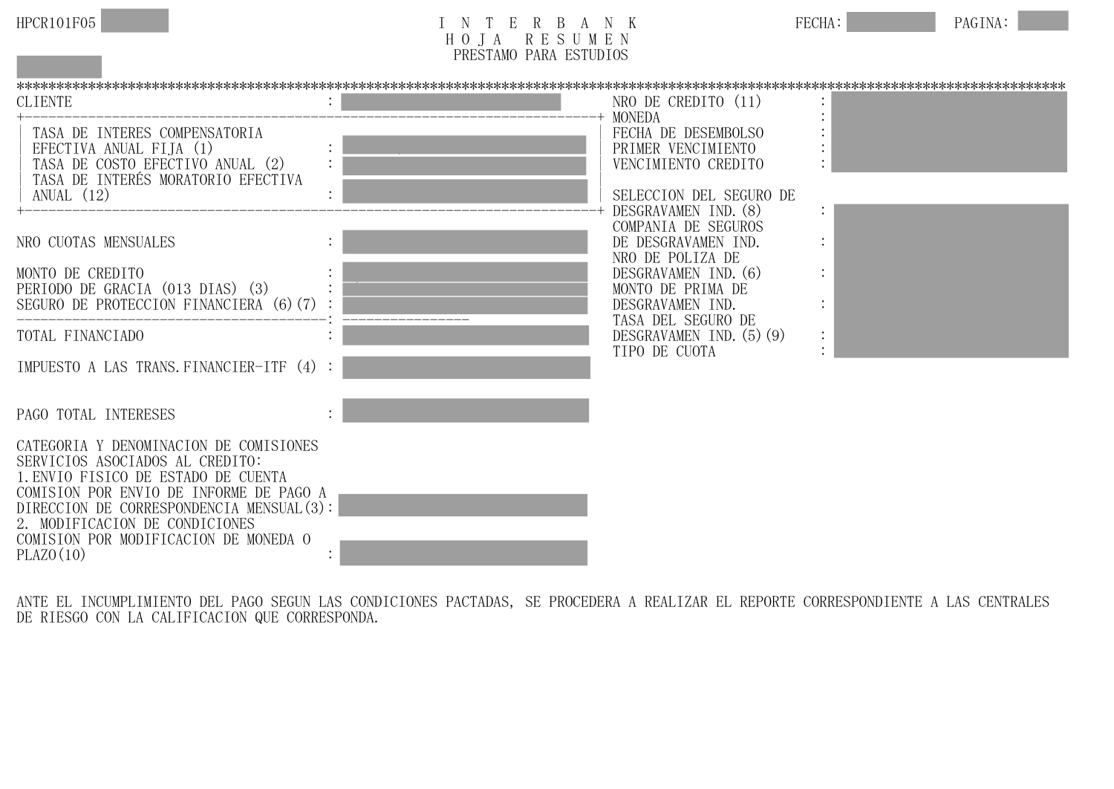

| HPCR101F05 | R<br>$\mathbf{L}$                   | FECHA:<br>-17        | PAGINA: |  |
|------------|-------------------------------------|----------------------|---------|--|
|            | - F<br>D.<br>17<br>◡                | MFN<br><u>بر تا </u> |         |  |
|            | PRESTAMO<br>PARA<br><b>ESTUDIOS</b> |                      |         |  |
|            |                                     |                      |         |  |

**PRESTAMO PARA ESTUDIOS** JUNIO 2021 \*\*\*\*\*\*\*\*\*\*\*\*\*\*\*\*\*\*\*\*\*\*\*\*\*\*\*\*\*\*\*\*\*\*\*\*\*\*\*\*\*\*\*\*\*\*\*\*\*\*\*\*\*\*\*\*\*\*\*\*\*\*\*\*\*\*\*\*\*\*\*\*\*\*\*\*\*\*\*\*\*\*\*\*\*\*\*\*\*\*\*\*\*\*\*\*\*\*\*\*\*\*\*\*\*\*\*\*\*\*\*\*\*\*\*\*\*\*\*\*\*\*\*\*\*\*\*\*\*\*\*\* CLIENTE : TELLO GUERRERO MANUEL CESAR NRO DE CREDITO (11) +------------------------------------------------------------------------+ MONEDA : SOLES TASA DE INTERES COMPENSATORIA | FECHA DE DESEMBOLSO EFECTIVA ANUAL FIJA (1) : 9.990 % | PRIMER VENCIMIENTO : 0.9990 % | PRIMER VENCIMIENTO : 0.9990 % | PRIMER VENCIMIENTO : 0.9990 % | PRIMER VENCIMIENTO : 0.9990 % | PRIMER VENCIMIENTO : 0.9990 % | PRIMER VENCIMIENTO : 0.999 TASA DE COSTO EFECTIVO ANUAL (2) TASA DE INTERÉS MORATORIO EFECTIVA ANUAL (12) : 12.51 \$12.51 \$12.51 \$12.51 \$12.51 \$12.51 \$12.51 \$12.51 \$12.51 \$12.51 \$12.51 \$12.51 \$12.51 \$12.51 \$12.51 \$12.51 \$12.51 \$12.51 \$12.51 \$12.51 \$12.51 \$12.51 \$12.51 \$12.51 \$12.51 \$12.51 \$12.51 \$12.51 \$12.51 \$12.51 DESGRAVAMEN IND. (8) COMPANIA DE SEGUROS NRO CUOTAS MENSUALES : 12 METERO : 12 METERO DE DESGRAVAMEN IND. NONTO DE CREDITO A ESTE ELECTRONICA DE POLIZA DE ELECTRONICA DE ELECTRONICA DE ELECTRONICA DE ELECTRONICA DE E<br>ELECTRONICA DESGRAVAMENTIND. DESGRAVAMEN IND. (6)<br>MONTO DE PRIMA DE PERIODO DE GRACIA (013 DIAS) (3) : S/ S/ S/ S/ 54.65 MONTO DE PRIMA D<br>SEGURO DE PROTECCION FINANCIERA (6)(7) : SEGURO DE PROTECCION FINANCIERA (6)(7) : S/ 0.000 DESGRAVAMEN IND. : (5) TASA DEL SEGURO DE TOTAL FINANCIADO : S/ 14,554.65 DESGRAVAMEN IND.(5)(9) TIPO DE CUOTA : ORDINARIA E EL CONTENERATO DE CUOTA DE CONTENERATO DE CONTENERATO DE CONTENERATO DE CONTENERATO DE CONTENERATO DE CONTENERATO DE CONTENERATO DE CONTENERATO DE CONTENERATO DE CONTENERATO DE CONTENERATO DE CO IMPUESTO A LAS TRANS. FINANCIER-ITF  $(4)$ : PAGO TOTAL INTERESES CATEGORIA Y DENOMINACION DE COMISIONES SERVICIOS ASOCIADOS AL CREDITO: 1.ENVIO FISICO DE ESTADO DE CUENTA COMISION POR ENVIO DE INFORME DE PAGO A DIRECCION DE CORRESPONDENCIA MENSUAL(3): 2. MODIFICACION DE CONDICIONES COMISION POR MODIFICACION DE MONEDA O  $PLAZO(10)$ 

ANTE EL INCUMPLIMIENTO DEL PAGO SEGUN LAS CONDICIONES PACTADAS, SE PROCEDERA A REALIZAR EL REPORTE CORRESPONDIENTE A LAS CENTRALES DE RIESGO CON LA CALIFICACION QUE CORRESPONDA.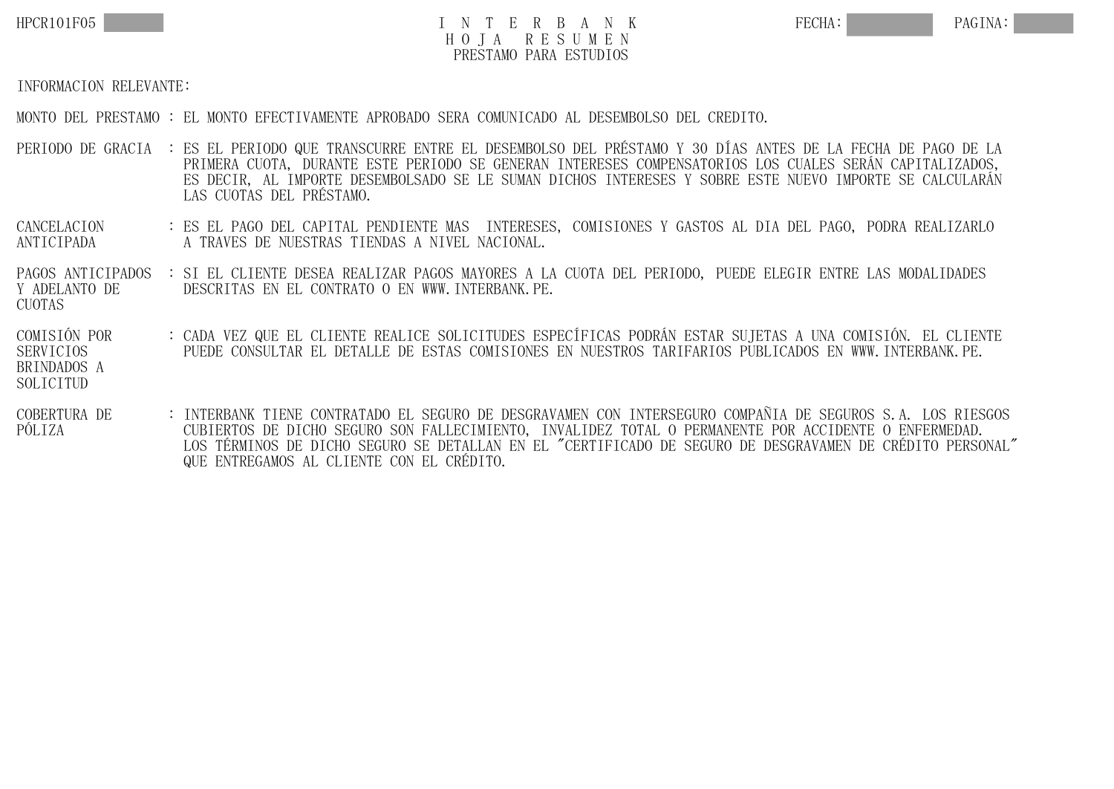

## HPCR101F05 TO TERBANK FECHA: PAGINA: H O J A R E S U M E N PRESTAMO PARA ESTUDIOS

## INFORMACION RELEVANTE:

MONTO DEL PRESTAMO : EL MONTO EFECTIVAMENTE APROBADO SERA COMUNICADO AL DESEMBOLSO DEL CREDITO.

- PERIODO DE GRACIA : ES EL PERIODO QUE TRANSCURRE ENTRE EL DESEMBOLSO DEL PRÉSTAMO Y 30 DÍAS ANTES DE LA FECHA DE PAGO DE LA PRIMERA CUOTA, DURANTE ESTE PERIODO SE GENERAN INTERESES COMPENSATORIOS LOS CUALES SERÁN CAPITALIZADOS, ES DECIR, AL IMPORTE DESEMBOLSADO SE LE SUMAN DICHOS INTERESES Y SOBRE ESTE NUEVO IMPORTE SE CALCULARÁN LAS CUOTAS DEL PRÉSTAMO.
- CANCELACION : ES EL PAGO DEL CAPITAL PENDIENTE MAS INTERESES, COMISIONES Y GASTOS AL DIA DEL PAGO, PODRA REALIZARLO A TRAVES DE NUESTRAS TIENDAS A NIVEL NACIONAL.
- PAGOS ANTICIPADOS : SI EL CLIENTE DESEA REALIZAR PAGOS MAYORES A LA CUOTA DEL PERIODO, PUEDE ELEGIR ENTRE LAS MODALIDADES Y ADELANTO DE DESCRITAS EN EL CONTRATO O EN WWW. INTERBANK. PE. CUOTAS
- COMISIÓN POR : CADA VEZ QUE EL CLIENTE REALICE SOLICITUDES ESPECÍFICAS PODRÁN ESTAR SUJETAS A UNA COMISIÓN. EL CLIENTE SERVICIOS PUEDE CONSULTAR EL DETALLE DE ESTAS COMISIONES EN NUESTROS TARIFARIOS PUBLICADOS EN WWW.INTERBANK.PE. BRINDADOS A SOLICITUD
- COBERTURA DE : INTERBANK TIENE CONTRATADO EL SEGURO DE DESGRAVAMEN CON INTERSEGURO COMPAÑIA DE SEGUROS S.A. LOS RIESGOS PÓLIZA CUBIERTOS DE DICHO SEGURO SON FALLECIMIENTO, INVALIDEZ TOTAL O PERMANENTE POR ACCIDENTE O ENFERMEDAD. LOS TÉRMINOS DE DICHO SEGURO SE DETALLAN EN EL "CERTIFICADO DE SEGURO DE DESGRAVAMEN DE CRÉDITO PERSONAL" QUE ENTREGAMOS AL CLIENTE CON EL CRÉDITO.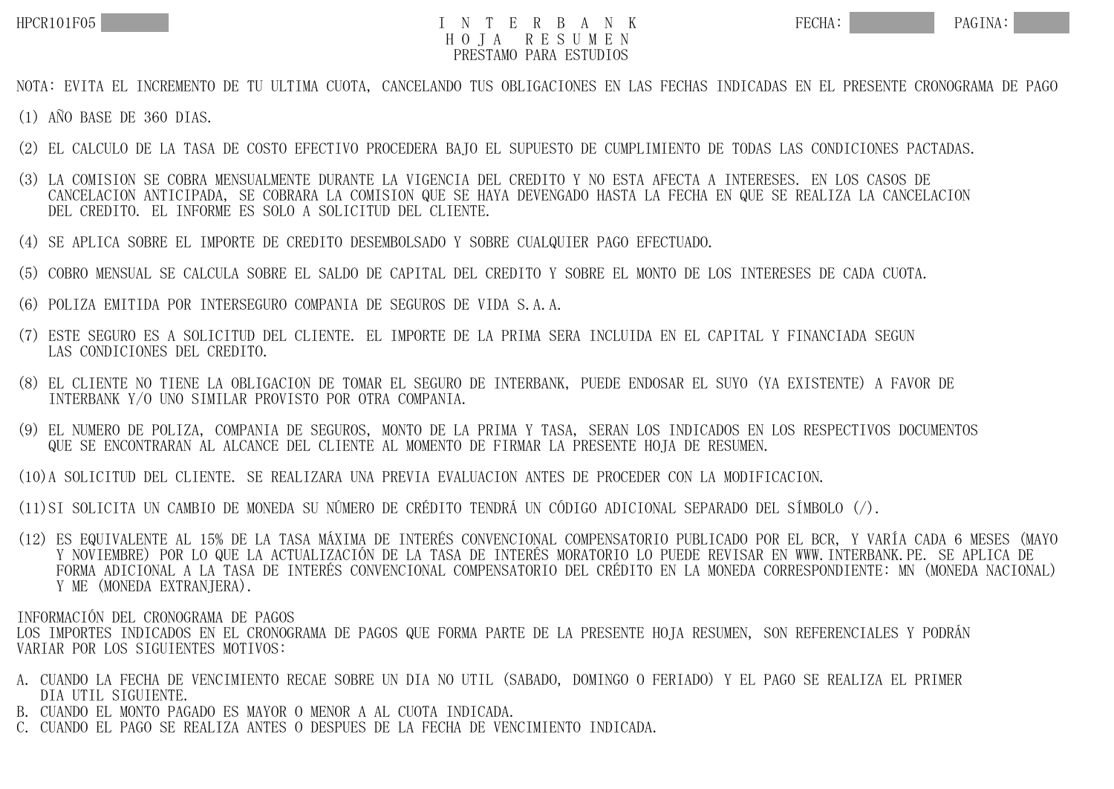## HPCR101F05 TO TER BANK FECHA: PAGINA: H O J A R E S U M E N PRESTAMO PARA ESTUDIOS

NOTA: EVITA EL INCREMENTO DE TU ULTIMA CUOTA, CANCELANDO TUS OBLIGACIONES EN LAS FECHAS INDICADAS EN EL PRESENTE CRONOGRAMA DE PAGO

(1) AÑO BASE DE 360 DIAS.

- (2) EL CALCULO DE LA TASA DE COSTO EFECTIVO PROCEDERA BAJO EL SUPUESTO DE CUMPLIMIENTO DE TODAS LAS CONDICIONES PACTADAS.
- (3) LA COMISION SE COBRA MENSUALMENTE DURANTE LA VIGENCIA DEL CREDITO Y NO ESTA AFECTA A INTERESES. EN LOS CASOS DE CANCELACION ANTICIPADA, SE COBRARA LA COMISION QUE SE HAYA DEVENGADO HASTA LA FECHA EN QUE SE REALIZA LA CANCELACION DEL CREDITO. EL INFORME ES SOLO A SOLICITUD DEL CLIENTE.
- (4) SE APLICA SOBRE EL IMPORTE DE CREDITO DESEMBOLSADO Y SOBRE CUALQUIER PAGO EFECTUADO.
- (5) COBRO MENSUAL SE CALCULA SOBRE EL SALDO DE CAPITAL DEL CREDITO Y SOBRE EL MONTO DE LOS INTERESES DE CADA CUOTA.
- (6) POLIZA EMITIDA POR INTERSEGURO COMPANIA DE SEGUROS DE VIDA S.A.A.
- (7) ESTE SEGURO ES A SOLICITUD DEL CLIENTE. EL IMPORTE DE LA PRIMA SERA INCLUIDA EN EL CAPITAL Y FINANCIADA SEGUN LAS CONDICIONES DEL CREDITO.
- (8) EL CLIENTE NO TIENE LA OBLIGACION DE TOMAR EL SEGURO DE INTERBANK, PUEDE ENDOSAR EL SUYO (YA EXISTENTE) A FAVOR DE INTERBANK Y/O UNO SIMILAR PROVISTO POR OTRA COMPANIA.
- (9) EL NUMERO DE POLIZA, COMPANIA DE SEGUROS, MONTO DE LA PRIMA Y TASA, SERAN LOS INDICADOS EN LOS RESPECTIVOS DOCUMENTOS QUE SE ENCONTRARAN AL ALCANCE DEL CLIENTE AL MOMENTO DE FIRMAR LA PRESENTE HOJA DE RESUMEN.
- (10)A SOLICITUD DEL CLIENTE. SE REALIZARA UNA PREVIA EVALUACION ANTES DE PROCEDER CON LA MODIFICACION.
- (11)SI SOLICITA UN CAMBIO DE MONEDA SU NÚMERO DE CRÉDITO TENDRÁ UN CÓDIGO ADICIONAL SEPARADO DEL SÍMBOLO (/).
- (12) ES EQUIVALENTE AL 15% DE LA TASA MÁXIMA DE INTERÉS CONVENCIONAL COMPENSATORIO PUBLICADO POR EL BCR, Y VARÍA CADA 6 MESES (MAYO Y NOVIEMBRE) POR LO QUE LA ACTUALIZACIÓN DE LA TASA DE INTERÉS MORATORIO LO PUEDE REVISAR EN WWW.INTERBANK.PE. SE APLICA DE FORMA ADICIONAL A LA TASA DE INTERÉS CONVENCIONAL COMPENSATORIO DEL CRÉDITO EN LA MONEDA CORRESPONDIENTE: MN (MONEDA NACIONAL) Y ME (MONEDA EXTRANJERA).

INFORMACIÓN DEL CRONOGRAMA DE PAGOS LOS IMPORTES INDICADOS EN EL CRONOGRAMA DE PAGOS QUE FORMA PARTE DE LA PRESENTE HOJA RESUMEN. SON REFERENCIALES Y PODRÁN VARIAR POR LOS SIGUIENTES MOTIVOS:

- A. CUANDO LA FECHA DE VENCIMIENTO RECAE SOBRE UN DIA NO UTIL (SABADO, DOMINGO O FERIADO) Y EL PAGO SE REALIZA EL PRIMER DIA UTIL SIGUIENTE.
- B. CUANDO EL MONTO PAGADO ES MAYOR O MENOR A AL CUOTA INDICADA.
- C. CUANDO EL PAGO SE REALIZA ANTES O DESPUES DE LA FECHA DE VENCIMIENTO INDICADA.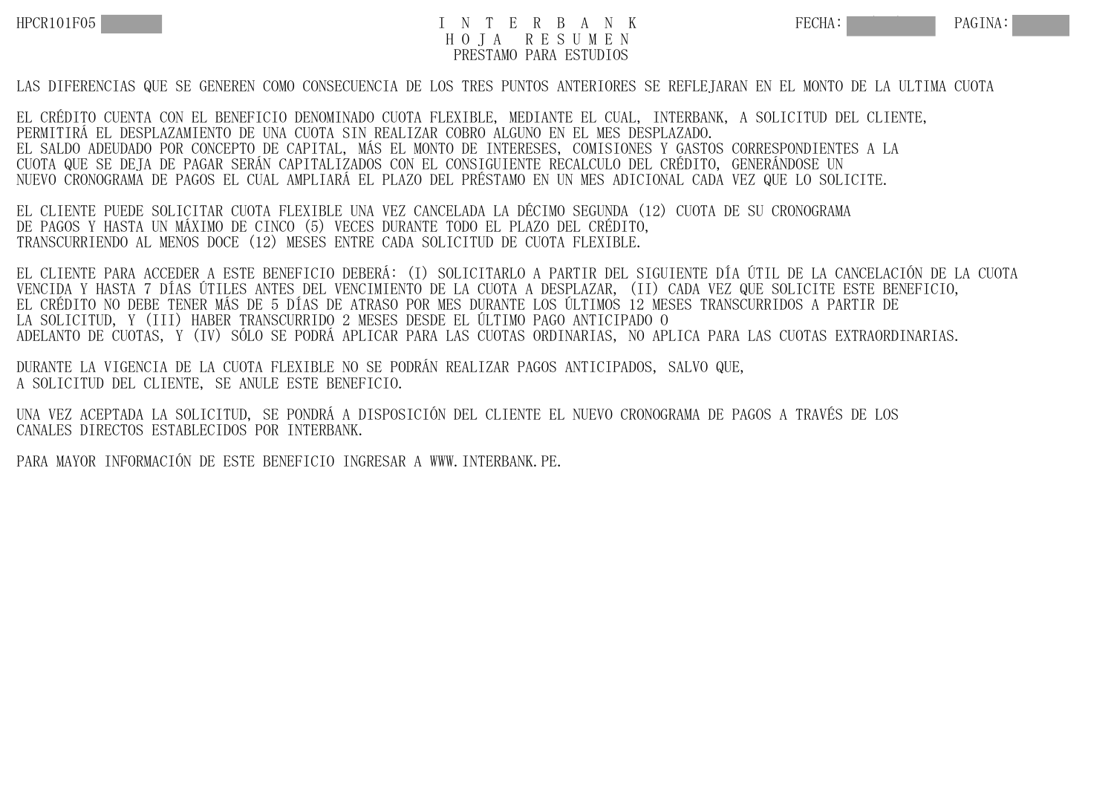## HPCR101F05 TO TERBANK FECHA: PAGINA: H O J A R E S U M E N PRESTAMO PARA ESTUDIOS

LAS DIFERENCIAS QUE SE GENEREN COMO CONSECUENCIA DE LOS TRES PUNTOS ANTERIORES SE REFLEJARAN EN EL MONTO DE LA ULTIMA CUOTA

EL CRÉDITO CUENTA CON EL BENEFICIO DENOMINADO CUOTA FLEXIBLE, MEDIANTE EL CUAL, INTERBANK, A SOLICITUD DEL CLIENTE, PERMITIRÁ EL DESPLAZAMIENTO DE UNA CUOTA SIN REALIZAR COBRO ALGUNO EN EL MES DESPLAZADO. EL SALDO ADEUDADO POR CONCEPTO DE CAPITAL, MÁS EL MONTO DE INTERESES, COMISIONES Y GASTOS CORRESPONDIENTES A LA CUOTA QUE SE DEJA DE PAGAR SERÁN CAPITALIZADOS CON EL CONSIGUIENTE RECALCULO DEL CRÉDITO, GENERÁNDOSE UN NUEVO CRONOGRAMA DE PAGOS EL CUAL AMPLIARÁ EL PLAZO DEL PRÉSTAMO EN UN MES ADICIONAL CADA VEZ QUE LO SOLICITE.

EL CLIENTE PUEDE SOLICITAR CUOTA FLEXIBLE UNA VEZ CANCELADA LA DÉCIMO SEGUNDA (12) CUOTA DE SU CRONOGRAMA DE PAGOS Y HASTA UN MÁXIMO DE CINCO (5) VECES DURANTE TODO EL PLAZO DEL CRÉDITO, TRANSCURRIENDO AL MENOS DOCE (12) MESES ENTRE CADA SOLICITUD DE CUOTA FLEXIBLE.

EL CLIENTE PARA ACCEDER A ESTE BENEFICIO DEBERÁ: (I) SOLICITARLO A PARTIR DEL SIGUIENTE DÍA ÚTIL DE LA CANCELACIÓN DE LA CUOTA VENCIDA Y HASTA 7 DÍAS ÚTILES ANTES DEL VENCIMIENTO DE LA CUOTA A DESPLAZAR, (II) CADA VEZ QUE SOLICITE ESTE BENEFICIO, EL CRÉDITO NO DEBE TENER MÁS DE 5 DÍAS DE ATRASO POR MES DURANTE LOS ÚLTIMOS 12 MESES TRANSCURRIDOS A PARTIR DE LA SOLICITUD, Y (III) HABER TRANSCURRIDO 2 MESES DESDE EL ÚLTIMO PAGO ANTICIPADO O ADELANTO DE CUOTAS, Y (IV) SÓLO SE PODRÁ APLICAR PARA LAS CUOTAS ORDINARIAS, NO APLICA PARA LAS CUOTAS EXTRAORDINARIAS.

DURANTE LA VIGENCIA DE LA CUOTA FLEXIBLE NO SE PODRÁN REALIZAR PAGOS ANTICIPADOS, SALVO QUE, A SOLICITUD DEL CLIENTE, SE ANULE ESTE BENEFICIO.

UNA VEZ ACEPTADA LA SOLICITUD, SE PONDRÁ A DISPOSICIÓN DEL CLIENTE EL NUEVO CRONOGRAMA DE PAGOS A TRAVÉS DE LOS CANALES DIRECTOS ESTABLECIDOS POR INTERBANK.

PARA MAYOR INFORMACIÓN DE ESTE BENEFICIO INGRESAR A WWW.INTERBANK.PE.